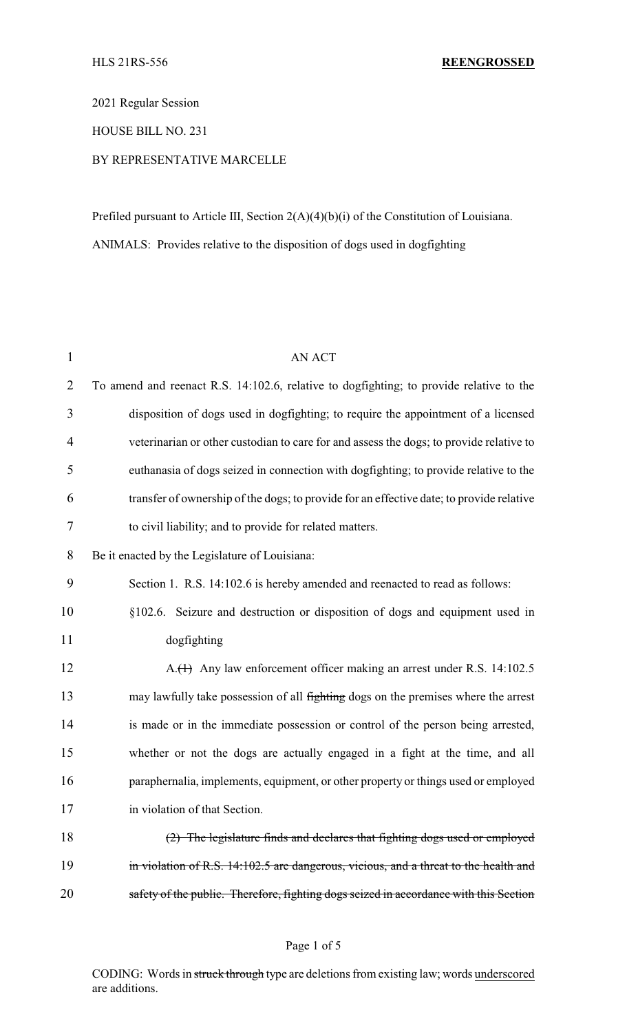2021 Regular Session

HOUSE BILL NO. 231

## BY REPRESENTATIVE MARCELLE

Prefiled pursuant to Article III, Section 2(A)(4)(b)(i) of the Constitution of Louisiana. ANIMALS: Provides relative to the disposition of dogs used in dogfighting

| <b>AN ACT</b>                                                                            |
|------------------------------------------------------------------------------------------|
| To amend and reenact R.S. 14:102.6, relative to dogfighting; to provide relative to the  |
| disposition of dogs used in dogfighting; to require the appointment of a licensed        |
| veterinarian or other custodian to care for and assess the dogs; to provide relative to  |
| euthanasia of dogs seized in connection with dogfighting; to provide relative to the     |
| transfer of ownership of the dogs; to provide for an effective date; to provide relative |
| to civil liability; and to provide for related matters.                                  |
| Be it enacted by the Legislature of Louisiana:                                           |
| Section 1. R.S. 14:102.6 is hereby amended and reenacted to read as follows:             |
| §102.6. Seizure and destruction or disposition of dogs and equipment used in             |
| dogfighting                                                                              |
| A.(1) Any law enforcement officer making an arrest under R.S. 14:102.5                   |
| may lawfully take possession of all fighting dogs on the premises where the arrest       |
| is made or in the immediate possession or control of the person being arrested,          |
| whether or not the dogs are actually engaged in a fight at the time, and all             |
| paraphernalia, implements, equipment, or other property or things used or employed       |
| in violation of that Section.                                                            |
| (2) The legislature finds and declares that fighting dogs used or employed               |
| in violation of R.S. 14:102.5 are dangerous, vicious, and a threat to the health and     |
| safety of the public. Therefore, fighting dogs seized in accordance with this Section    |
|                                                                                          |

#### Page 1 of 5

CODING: Words in struck through type are deletions from existing law; words underscored are additions.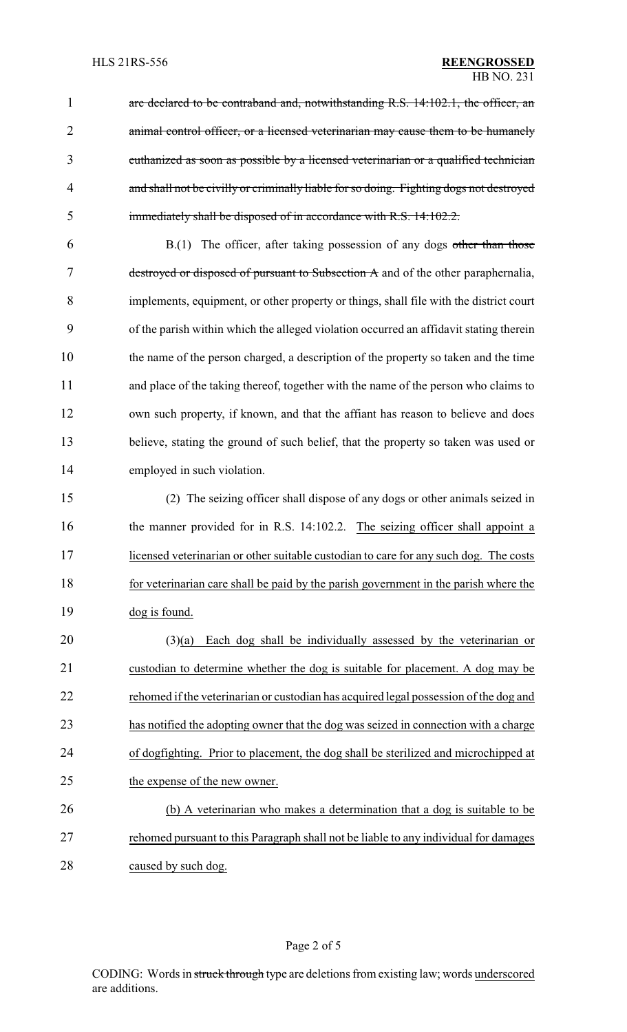1 are declared to be contraband and, notwithstanding R.S. 14:102.1, the officer, an 2 animal control officer, or a licensed veterinarian may cause them to be humanely euthanized as soon as possible by a licensed veterinarian or a qualified technician and shall not be civilly or criminally liable for so doing. Fighting dogs not destroyed immediately shall be disposed of in accordance with R.S. 14:102.2.

 B.(1) The officer, after taking possession of any dogs other than those destroyed or disposed of pursuant to Subsection A and of the other paraphernalia, implements, equipment, or other property or things, shall file with the district court of the parish within which the alleged violation occurred an affidavit stating therein the name of the person charged, a description of the property so taken and the time and place of the taking thereof, together with the name of the person who claims to own such property, if known, and that the affiant has reason to believe and does believe, stating the ground of such belief, that the property so taken was used or employed in such violation.

 (2) The seizing officer shall dispose of any dogs or other animals seized in 16 the manner provided for in R.S. 14:102.2. The seizing officer shall appoint a licensed veterinarian or other suitable custodian to care for any such dog. The costs for veterinarian care shall be paid by the parish government in the parish where the dog is found.

 (3)(a) Each dog shall be individually assessed by the veterinarian or custodian to determine whether the dog is suitable for placement. A dog may be rehomed if the veterinarian or custodian has acquired legal possession of the dog and has notified the adopting owner that the dog was seized in connection with a charge of dogfighting. Prior to placement, the dog shall be sterilized and microchipped at the expense of the new owner.

 (b) A veterinarian who makes a determination that a dog is suitable to be rehomed pursuant to this Paragraph shall not be liable to any individual for damages caused by such dog.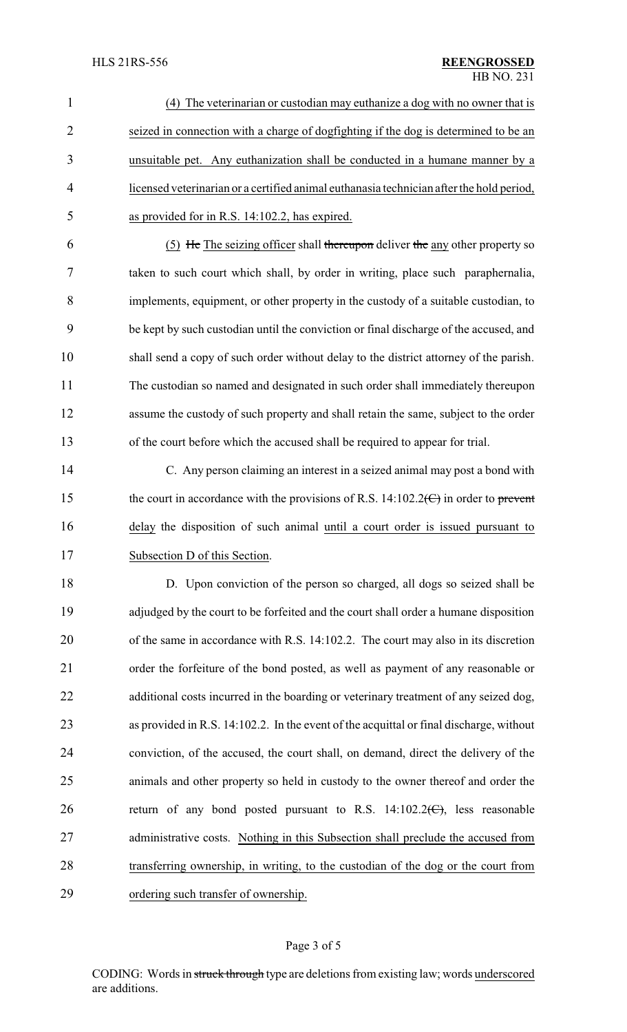| $\mathbf{1}$   | (4) The veterinarian or custodian may euthanize a dog with no owner that is                  |
|----------------|----------------------------------------------------------------------------------------------|
| $\overline{2}$ | seized in connection with a charge of dogfighting if the dog is determined to be an          |
| 3              | unsuitable pet. Any euthanization shall be conducted in a humane manner by a                 |
| $\overline{4}$ | licensed veterinarian or a certified animal euthanasia technician after the hold period,     |
| 5              | as provided for in R.S. 14:102.2, has expired.                                               |
| 6              | $(5)$ He The seizing officer shall thereupon deliver the any other property so               |
| 7              | taken to such court which shall, by order in writing, place such paraphernalia,              |
| 8              | implements, equipment, or other property in the custody of a suitable custodian, to          |
| 9              | be kept by such custodian until the conviction or final discharge of the accused, and        |
| 10             | shall send a copy of such order without delay to the district attorney of the parish.        |
| 11             | The custodian so named and designated in such order shall immediately thereupon              |
| 12             | assume the custody of such property and shall retain the same, subject to the order          |
| 13             | of the court before which the accused shall be required to appear for trial.                 |
| 14             | C. Any person claiming an interest in a seized animal may post a bond with                   |
| 15             | the court in accordance with the provisions of R.S. 14:102.2( $\Theta$ ) in order to prevent |
| 16             | delay the disposition of such animal until a court order is issued pursuant to               |
| 17             | Subsection D of this Section                                                                 |
| 18             | D. Upon conviction of the person so charged, all dogs so seized shall be                     |
| 19             | adjudged by the court to be forfeited and the court shall order a humane disposition         |
| 20             | of the same in accordance with R.S. 14:102.2. The court may also in its discretion           |
| 21             | order the forfeiture of the bond posted, as well as payment of any reasonable or             |
| 22             | additional costs incurred in the boarding or veterinary treatment of any seized dog,         |
| 23             | as provided in R.S. 14:102.2. In the event of the acquittal or final discharge, without      |
| 24             | conviction, of the accused, the court shall, on demand, direct the delivery of the           |
| 25             | animals and other property so held in custody to the owner thereof and order the             |
| 26             | return of any bond posted pursuant to R.S. $14:102.2 \times C$ , less reasonable             |
| 27             | administrative costs. Nothing in this Subsection shall preclude the accused from             |
| 28             | transferring ownership, in writing, to the custodian of the dog or the court from            |
| 29             | ordering such transfer of ownership.                                                         |

# Page 3 of 5

CODING: Words in struck through type are deletions from existing law; words underscored are additions.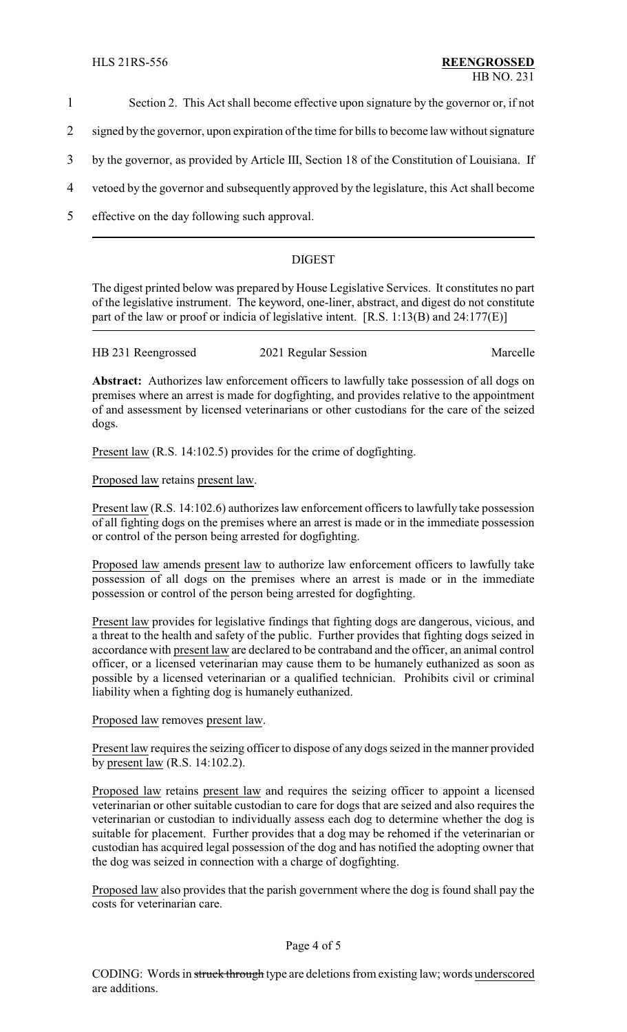- 1 Section 2. This Act shall become effective upon signature by the governor or, if not
- 2 signed by the governor, upon expiration of the time for bills to become law without signature
- 3 by the governor, as provided by Article III, Section 18 of the Constitution of Louisiana. If
- 4 vetoed by the governor and subsequently approved by the legislature, this Act shall become
- 5 effective on the day following such approval.

### DIGEST

The digest printed below was prepared by House Legislative Services. It constitutes no part of the legislative instrument. The keyword, one-liner, abstract, and digest do not constitute part of the law or proof or indicia of legislative intent. [R.S. 1:13(B) and 24:177(E)]

| HB 231 Reengrossed | 2021 Regular Session | Marcelle |
|--------------------|----------------------|----------|
|                    |                      |          |

Abstract: Authorizes law enforcement officers to lawfully take possession of all dogs on premises where an arrest is made for dogfighting, and provides relative to the appointment of and assessment by licensed veterinarians or other custodians for the care of the seized dogs.

Present law (R.S. 14:102.5) provides for the crime of dogfighting.

Proposed law retains present law.

Present law (R.S. 14:102.6) authorizes law enforcement officers to lawfully take possession of all fighting dogs on the premises where an arrest is made or in the immediate possession or control of the person being arrested for dogfighting.

Proposed law amends present law to authorize law enforcement officers to lawfully take possession of all dogs on the premises where an arrest is made or in the immediate possession or control of the person being arrested for dogfighting.

Present law provides for legislative findings that fighting dogs are dangerous, vicious, and a threat to the health and safety of the public. Further provides that fighting dogs seized in accordance with present law are declared to be contraband and the officer, an animal control officer, or a licensed veterinarian may cause them to be humanely euthanized as soon as possible by a licensed veterinarian or a qualified technician. Prohibits civil or criminal liability when a fighting dog is humanely euthanized.

Proposed law removes present law.

Present law requires the seizing officer to dispose of any dogs seized in the manner provided by present law (R.S. 14:102.2).

Proposed law retains present law and requires the seizing officer to appoint a licensed veterinarian or other suitable custodian to care for dogs that are seized and also requires the veterinarian or custodian to individually assess each dog to determine whether the dog is suitable for placement. Further provides that a dog may be rehomed if the veterinarian or custodian has acquired legal possession of the dog and has notified the adopting owner that the dog was seized in connection with a charge of dogfighting.

Proposed law also provides that the parish government where the dog is found shall pay the costs for veterinarian care.